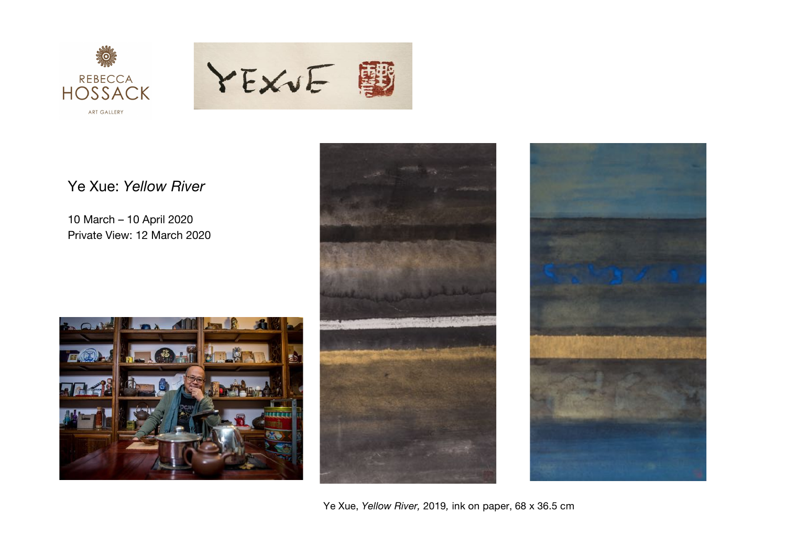

 $O<sup>1</sup>$ 

 $E(\mathbb{Z})$ 

 $\sqrt{1+\epsilon}$ 



## Ye Xue: *Yellow River*

10 March – 10 April 2020 Private View: 12 March 2020

**LEADER** 

 $\Box$   $\bigcirc$   $\blacksquare$ 

**And R**